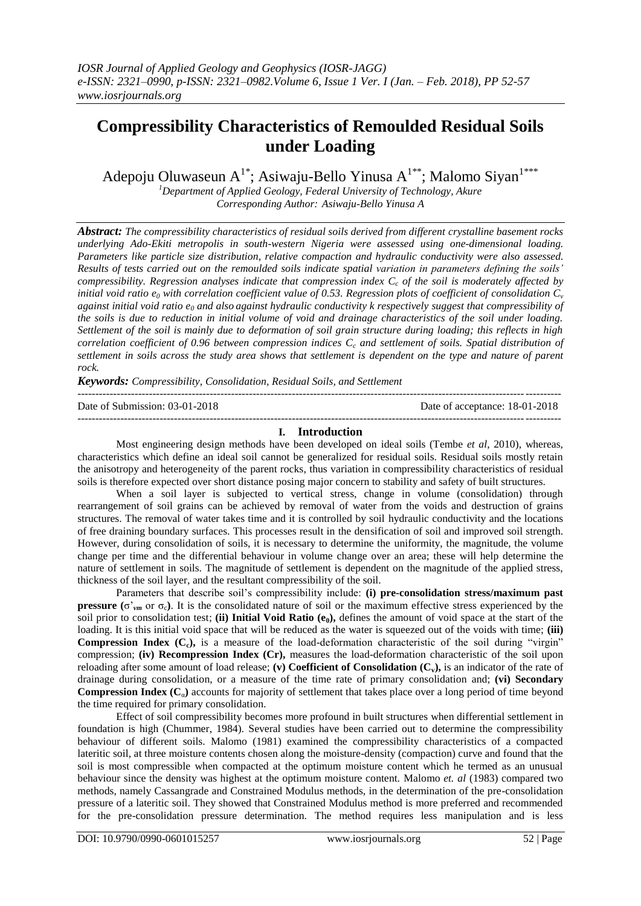# **Compressibility Characteristics of Remoulded Residual Soils under Loading**

Adepoju Oluwaseun  $A^{1*}$ ; Asiwaju-Bello Yinusa  $A^{1**}$ ; Malomo Siyan<sup>1\*\*\*</sup>

*<sup>1</sup>Department of Applied Geology, Federal University of Technology, Akure Corresponding Author: Asiwaju-Bello Yinusa A*

*Abstract: The compressibility characteristics of residual soils derived from different crystalline basement rocks underlying Ado-Ekiti metropolis in south-western Nigeria were assessed using one-dimensional loading. Parameters like particle size distribution, relative compaction and hydraulic conductivity were also assessed. Results of tests carried out on the remoulded soils indicate spatial variation in parameters defining the soils' compressibility. Regression analyses indicate that compression index C<sup>c</sup> of the soil is moderately affected by initial void ratio*  $e_0$  *with correlation coefficient value of 0.53. Regression plots of coefficient of consolidation*  $C_v$ *against initial void ratio e<sup>0</sup> and also against hydraulic conductivity k respectively suggest that compressibility of the soils is due to reduction in initial volume of void and drainage characteristics of the soil under loading. Settlement of the soil is mainly due to deformation of soil grain structure during loading; this reflects in high correlation coefficient of 0.96 between compression indices C<sup>c</sup> and settlement of soils. Spatial distribution of settlement in soils across the study area shows that settlement is dependent on the type and nature of parent rock.*

*Keywords: Compressibility, Consolidation, Residual Soils, and Settlement*

| Date of Submission: 03-01-2018 | Date of acceptance: 18-01-2018 |
|--------------------------------|--------------------------------|
|                                |                                |

## **I. Introduction**

Most engineering design methods have been developed on ideal soils (Tembe *et al*, 2010), whereas, characteristics which define an ideal soil cannot be generalized for residual soils. Residual soils mostly retain the anisotropy and heterogeneity of the parent rocks, thus variation in compressibility characteristics of residual soils is therefore expected over short distance posing major concern to stability and safety of built structures.

When a soil layer is subjected to vertical stress, change in volume (consolidation) through rearrangement of soil grains can be achieved by removal of water from the voids and destruction of grains structures. The removal of water takes time and it is controlled by soil hydraulic conductivity and the locations of free draining boundary surfaces. This processes result in the densification of soil and improved soil strength. However, during consolidation of soils, it is necessary to determine the uniformity, the magnitude, the volume change per time and the differential behaviour in volume change over an area; these will help determine the nature of settlement in soils. The magnitude of settlement is dependent on the magnitude of the applied stress, thickness of the soil layer, and the resultant compressibility of the soil.

Parameters that describe soil's compressibility include: **(i) pre-consolidation stress/maximum past pressure** ( $\sigma'_{vm}$  or  $\sigma_c$ ). It is the consolidated nature of soil or the maximum effective stress experienced by the soil prior to consolidation test; **(ii) Initial Void Ratio (e0),** defines the amount of void space at the start of the loading. It is this initial void space that will be reduced as the water is squeezed out of the voids with time; **(iii) Compression Index (C<sub>c</sub>**), is a measure of the load-deformation characteristic of the soil during "virgin" compression; **(iv) Recompression Index (Cr),** measures the load-deformation characteristic of the soil upon reloading after some amount of load release; **(v) Coefficient of Consolidation (Cv),** is an indicator of the rate of drainage during consolidation, or a measure of the time rate of primary consolidation and; **(vi) Secondary Compression Index**  $(C_{\alpha})$  **accounts for majority of settlement that takes place over a long period of time beyond** the time required for primary consolidation.

Effect of soil compressibility becomes more profound in built structures when differential settlement in foundation is high (Chummer, 1984). Several studies have been carried out to determine the compressibility behaviour of different soils. Malomo (1981) examined the compressibility characteristics of a compacted lateritic soil, at three moisture contents chosen along the moisture-density (compaction) curve and found that the soil is most compressible when compacted at the optimum moisture content which he termed as an unusual behaviour since the density was highest at the optimum moisture content. Malomo *et. al* (1983) compared two methods, namely Cassangrade and Constrained Modulus methods, in the determination of the pre-consolidation pressure of a lateritic soil. They showed that Constrained Modulus method is more preferred and recommended for the pre-consolidation pressure determination. The method requires less manipulation and is less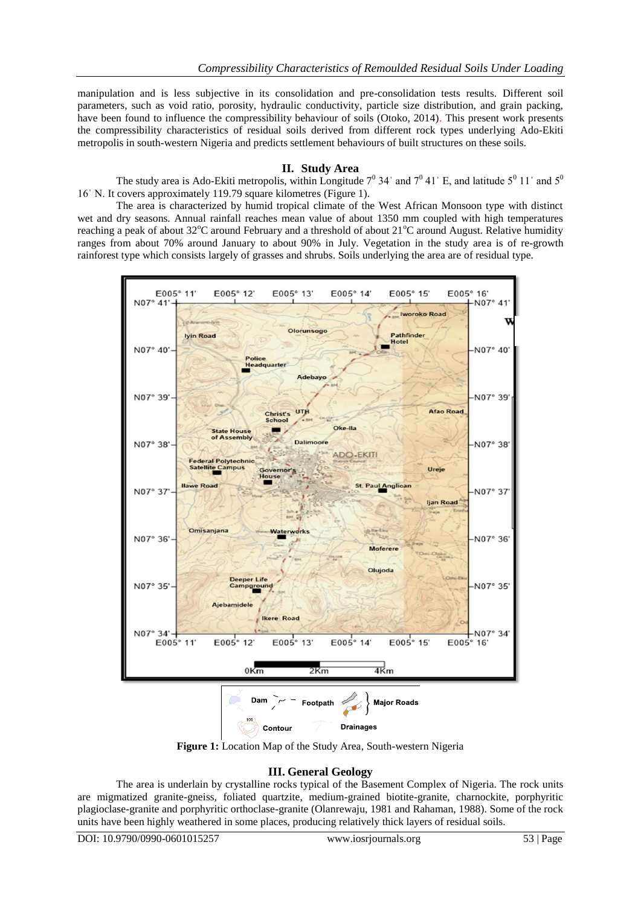manipulation and is less subjective in its consolidation and pre-consolidation tests results. Different soil parameters, such as void ratio, porosity, hydraulic conductivity, particle size distribution, and grain packing, have been found to influence the compressibility behaviour of soils (Otoko, 2014). This present work presents the compressibility characteristics of residual soils derived from different rock types underlying Ado-Ekiti metropolis in south-western Nigeria and predicts settlement behaviours of built structures on these soils.

# **II. Study Area**

The study area is Ado-Ekiti metropolis, within Longitude  $7^0$  34' and  $7^0$  41' E, and latitude  $5^0$  11' and  $5^0$ 16ˈ N. It covers approximately 119.79 square kilometres (Figure 1).

The area is characterized by humid tropical climate of the West African Monsoon type with distinct wet and dry seasons. Annual rainfall reaches mean value of about 1350 mm coupled with high temperatures reaching a peak of about 32°C around February and a threshold of about 21°C around August. Relative humidity ranges from about 70% around January to about 90% in July. Vegetation in the study area is of re-growth rainforest type which consists largely of grasses and shrubs. Soils underlying the area are of residual type.



**Figure 1:** Location Map of the Study Area, South-western Nigeria

# **III. General Geology**

The area is underlain by crystalline rocks typical of the Basement Complex of Nigeria. The rock units are migmatized granite-gneiss, foliated quartzite, medium-grained biotite-granite, charnockite, porphyritic plagioclase-granite and porphyritic orthoclase-granite (Olanrewaju, 1981 and Rahaman, 1988). Some of the rock units have been highly weathered in some places, producing relatively thick layers of residual soils.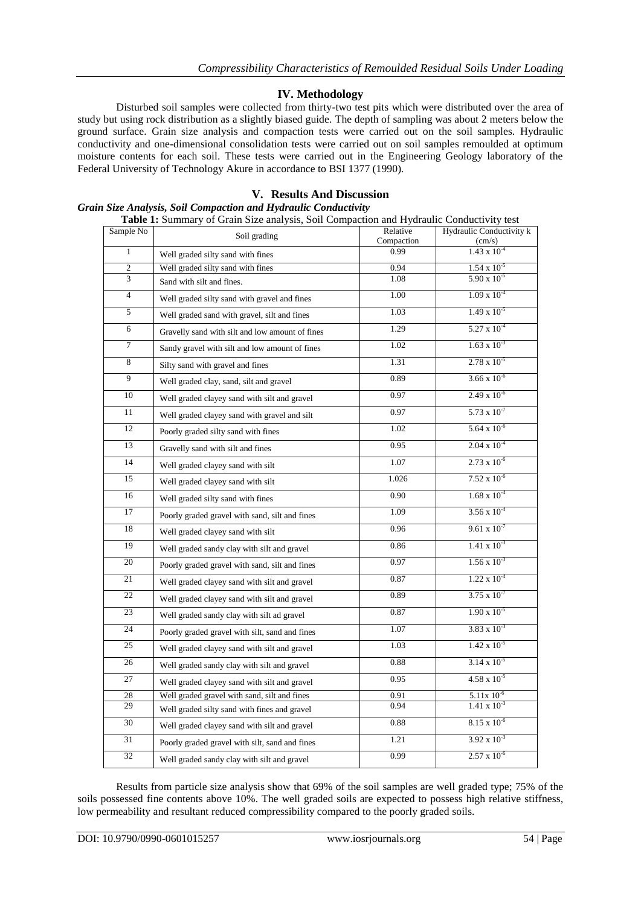# **IV. Methodology**

Disturbed soil samples were collected from thirty-two test pits which were distributed over the area of study but using rock distribution as a slightly biased guide. The depth of sampling was about 2 meters below the ground surface. Grain size analysis and compaction tests were carried out on the soil samples. Hydraulic conductivity and one-dimensional consolidation tests were carried out on soil samples remoulded at optimum moisture contents for each soil. These tests were carried out in the Engineering Geology laboratory of the Federal University of Technology Akure in accordance to BSI 1377 (1990).

#### **V. Results And Discussion** *Grain Size Analysis, Soil Compaction and Hydraulic Conductivity* **Table 1:** Summary of Grain Size analysis, Soil Compaction and Hydraulic Conductivity test

| Sample No      | <b>Table 1.</b> Summary of Gram Size anarysis, Son Compaction and Hydraune Conductivity iest<br>Soil grading | Relative           | Hydraulic Conductivity k                       |
|----------------|--------------------------------------------------------------------------------------------------------------|--------------------|------------------------------------------------|
| $\mathbf{1}$   |                                                                                                              | Compaction<br>0.99 | $\frac{\text{(cm/s)}}{1.43 \times 10^{-4}}$    |
|                | Well graded silty sand with fines                                                                            |                    |                                                |
| 2<br>3         | Well graded silty sand with fines<br>Sand with silt and fines.                                               | 0.94<br>1.08       | $1.54 \times 10^{-5}$<br>$5.90 \times 10^{-5}$ |
| $\overline{4}$ | Well graded silty sand with gravel and fines                                                                 | 1.00               | $1.09 \times 10^{-4}$                          |
| 5              | Well graded sand with gravel, silt and fines                                                                 | 1.03               | $1.49 \times 10^{-5}$                          |
| 6              |                                                                                                              | 1.29               | $5.27 \times 10^{-4}$                          |
| $\tau$         | Gravelly sand with silt and low amount of fines                                                              | 1.02               | $1.63 \times 10^{-3}$                          |
| 8              | Sandy gravel with silt and low amount of fines                                                               | 1.31               | $2.78 \times 10^{-5}$                          |
|                | Silty sand with gravel and fines                                                                             |                    |                                                |
| 9              | Well graded clay, sand, silt and gravel                                                                      | 0.89               | $3.66 \times 10^{-6}$                          |
| 10             | Well graded clayey sand with silt and gravel                                                                 | 0.97               | $2.49 \times 10^{-6}$                          |
| 11             | Well graded clayey sand with gravel and silt                                                                 | 0.97               | $5.73 \times 10^{-7}$                          |
| 12             | Poorly graded silty sand with fines                                                                          | 1.02               | $5.64 \times 10^{-6}$                          |
| 13             | Gravelly sand with silt and fines                                                                            | 0.95               | $2.04 \times 10^{-4}$                          |
| 14             | Well graded clayey sand with silt                                                                            | 1.07               | $2.73 \times 10^{-6}$                          |
| 15             | Well graded clayey sand with silt                                                                            | 1.026              | $7.52 \times 10^{-6}$                          |
| 16             | Well graded silty sand with fines                                                                            | 0.90               | $1.68 \times 10^{-4}$                          |
| 17             | Poorly graded gravel with sand, silt and fines                                                               | 1.09               | $3.56 \times 10^{-4}$                          |
| 18             | Well graded clayey sand with silt                                                                            | 0.96               | $9.61 \times 10^{-7}$                          |
| 19             | Well graded sandy clay with silt and gravel                                                                  | 0.86               | $1.41 \times 10^{-3}$                          |
| 20             | Poorly graded gravel with sand, silt and fines                                                               | 0.97               | $1.56 \times 10^{-3}$                          |
| 21             | Well graded clayey sand with silt and gravel                                                                 | 0.87               | $1.22 \times 10^{-4}$                          |
| 22             | Well graded clayey sand with silt and gravel                                                                 | 0.89               | $3.75 \times 10^{-7}$                          |
| 23             | Well graded sandy clay with silt ad gravel                                                                   | 0.87               | $1.90 \times 10^{-5}$                          |
| 24             | Poorly graded gravel with silt, sand and fines                                                               | 1.07               | $3.83 \times 10^{-3}$                          |
| 25             | Well graded clayey sand with silt and gravel                                                                 | 1.03               | $1.42 \times 10^{-5}$                          |
| 26             | Well graded sandy clay with silt and gravel                                                                  | 0.88               | $3.14 \times 10^{-5}$                          |
| 27             | Well graded clayey sand with silt and gravel                                                                 | 0.95               | $4.58 \times 10^{-5}$                          |
| 28             | Well graded gravel with sand, silt and fines                                                                 | 0.91               | $5.11x\ 10^{-6}$                               |
| 29             | Well graded silty sand with fines and gravel                                                                 | 0.94               | $1.41 \times 10^{-3}$                          |
| 30             | Well graded clayey sand with silt and gravel                                                                 | 0.88               | $8.15 \times 10^{-6}$                          |
| 31             | Poorly graded gravel with silt, sand and fines                                                               | 1.21               | $3.92 \times 10^{-3}$                          |
| 32             | Well graded sandy clay with silt and gravel                                                                  | 0.99               | $2.57 \times 10^{-6}$                          |

Results from particle size analysis show that 69% of the soil samples are well graded type; 75% of the soils possessed fine contents above 10%. The well graded soils are expected to possess high relative stiffness, low permeability and resultant reduced compressibility compared to the poorly graded soils.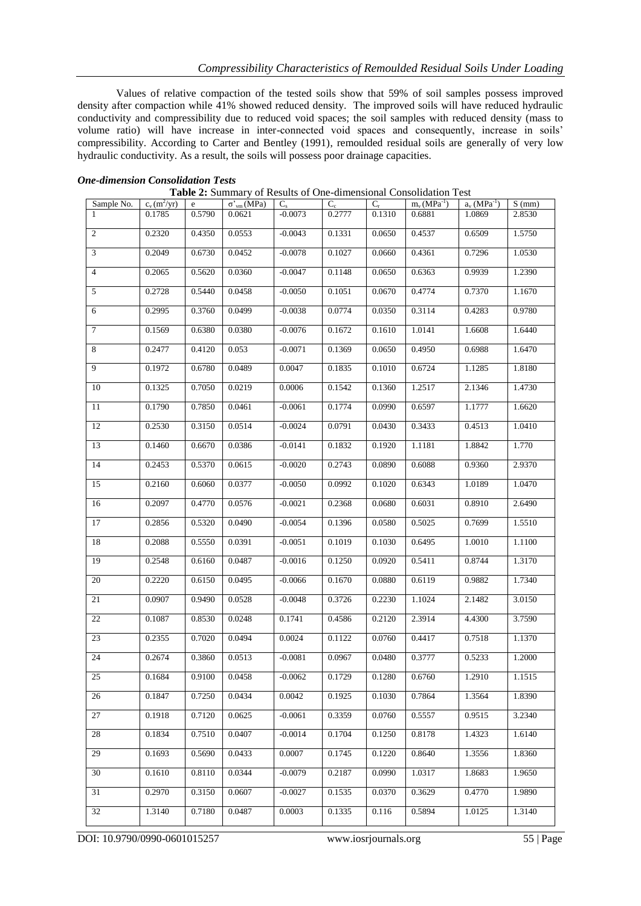Values of relative compaction of the tested soils show that 59% of soil samples possess improved density after compaction while 41% showed reduced density. The improved soils will have reduced hydraulic conductivity and compressibility due to reduced void spaces; the soil samples with reduced density (mass to volume ratio) will have increase in inter-connected void spaces and consequently, increase in soils' compressibility. According to Carter and Bentley (1991), remoulded residual soils are generally of very low hydraulic conductivity. As a result, the soils will possess poor drainage capacities.

| Sample No. | $c_v(m^2/yr)$ | e      | $\sigma'_{vm}(MPa)$ | $C_{s}$   | $C_c$  | $C_{r}$ | $m_v(MPa^{-1})$ | $a_v (MPa^{-1})$ | $S$ (mm) |
|------------|---------------|--------|---------------------|-----------|--------|---------|-----------------|------------------|----------|
| 1          | 0.1785        | 0.5790 | 0.0621              | $-0.0073$ | 0.2777 | 0.1310  | 0.6881          | 1.0869           | 2.8530   |
| 2          | 0.2320        | 0.4350 | 0.0553              | $-0.0043$ | 0.1331 | 0.0650  | 0.4537          | 0.6509           | 1.5750   |
| 3          | 0.2049        | 0.6730 | 0.0452              | $-0.0078$ | 0.1027 | 0.0660  | 0.4361          | 0.7296           | 1.0530   |
| 4          | 0.2065        | 0.5620 | 0.0360              | $-0.0047$ | 0.1148 | 0.0650  | 0.6363          | 0.9939           | 1.2390   |
| 5          | 0.2728        | 0.5440 | 0.0458              | $-0.0050$ | 0.1051 | 0.0670  | 0.4774          | 0.7370           | 1.1670   |
| 6          | 0.2995        | 0.3760 | 0.0499              | $-0.0038$ | 0.0774 | 0.0350  | 0.3114          | 0.4283           | 0.9780   |
| $\tau$     | 0.1569        | 0.6380 | 0.0380              | $-0.0076$ | 0.1672 | 0.1610  | 1.0141          | 1.6608           | 1.6440   |
| $\,8\,$    | 0.2477        | 0.4120 | 0.053               | $-0.0071$ | 0.1369 | 0.0650  | 0.4950          | 0.6988           | 1.6470   |
| 9          | 0.1972        | 0.6780 | 0.0489              | 0.0047    | 0.1835 | 0.1010  | 0.6724          | 1.1285           | 1.8180   |
| 10         | 0.1325        | 0.7050 | 0.0219              | 0.0006    | 0.1542 | 0.1360  | 1.2517          | 2.1346           | 1.4730   |
| 11         | 0.1790        | 0.7850 | 0.0461              | $-0.0061$ | 0.1774 | 0.0990  | 0.6597          | 1.1777           | 1.6620   |
| 12         | 0.2530        | 0.3150 | 0.0514              | $-0.0024$ | 0.0791 | 0.0430  | 0.3433          | 0.4513           | 1.0410   |
| 13         | 0.1460        | 0.6670 | 0.0386              | $-0.0141$ | 0.1832 | 0.1920  | 1.1181          | 1.8842           | 1.770    |
| 14         | 0.2453        | 0.5370 | 0.0615              | $-0.0020$ | 0.2743 | 0.0890  | 0.6088          | 0.9360           | 2.9370   |
| 15         | 0.2160        | 0.6060 | 0.0377              | $-0.0050$ | 0.0992 | 0.1020  | 0.6343          | 1.0189           | 1.0470   |
| 16         | 0.2097        | 0.4770 | 0.0576              | $-0.0021$ | 0.2368 | 0.0680  | 0.6031          | 0.8910           | 2.6490   |
| 17         | 0.2856        | 0.5320 | 0.0490              | $-0.0054$ | 0.1396 | 0.0580  | 0.5025          | 0.7699           | 1.5510   |
| 18         | 0.2088        | 0.5550 | 0.0391              | $-0.0051$ | 0.1019 | 0.1030  | 0.6495          | 1.0010           | 1.1100   |
| 19         | 0.2548        | 0.6160 | 0.0487              | $-0.0016$ | 0.1250 | 0.0920  | 0.5411          | 0.8744           | 1.3170   |
| 20         | 0.2220        | 0.6150 | 0.0495              | $-0.0066$ | 0.1670 | 0.0880  | 0.6119          | 0.9882           | 1.7340   |
| 21         | 0.0907        | 0.9490 | 0.0528              | $-0.0048$ | 0.3726 | 0.2230  | 1.1024          | 2.1482           | 3.0150   |
| 22         | 0.1087        | 0.8530 | 0.0248              | 0.1741    | 0.4586 | 0.2120  | 2.3914          | 4.4300           | 3.7590   |
| 23         | 0.2355        | 0.7020 | 0.0494              | 0.0024    | 0.1122 | 0.0760  | 0.4417          | 0.7518           | 1.1370   |
| 24         | 0.2674        | 0.3860 | 0.0513              | $-0.0081$ | 0.0967 | 0.0480  | 0.3777          | 0.5233           | 1.2000   |
| 25         | 0.1684        | 0.9100 | 0.0458              | $-0.0062$ | 0.1729 | 0.1280  | 0.6760          | 1.2910           | 1.1515   |
| 26         | 0.1847        | 0.7250 | 0.0434              | 0.0042    | 0.1925 | 0.1030  | 0.7864          | 1.3564           | 1.8390   |
| 27         | 0.1918        | 0.7120 | 0.0625              | $-0.0061$ | 0.3359 | 0.0760  | 0.5557          | 0.9515           | 3.2340   |
| 28         | 0.1834        | 0.7510 | 0.0407              | $-0.0014$ | 0.1704 | 0.1250  | 0.8178          | 1.4323           | 1.6140   |
| 29         | 0.1693        | 0.5690 | 0.0433              | 0.0007    | 0.1745 | 0.1220  | 0.8640          | 1.3556           | 1.8360   |
| 30         | 0.1610        | 0.8110 | 0.0344              | $-0.0079$ | 0.2187 | 0.0990  | 1.0317          | 1.8683           | 1.9650   |
| 31         | 0.2970        | 0.3150 | 0.0607              | $-0.0027$ | 0.1535 | 0.0370  | 0.3629          | 0.4770           | 1.9890   |
| 32         | 1.3140        | 0.7180 | 0.0487              | 0.0003    | 0.1335 | 0.116   | 0.5894          | 1.0125           | 1.3140   |

### *One-dimension Consolidation Tests*

| Table 2: Summary of Results of One-dimensional Consolidation Test |
|-------------------------------------------------------------------|
|-------------------------------------------------------------------|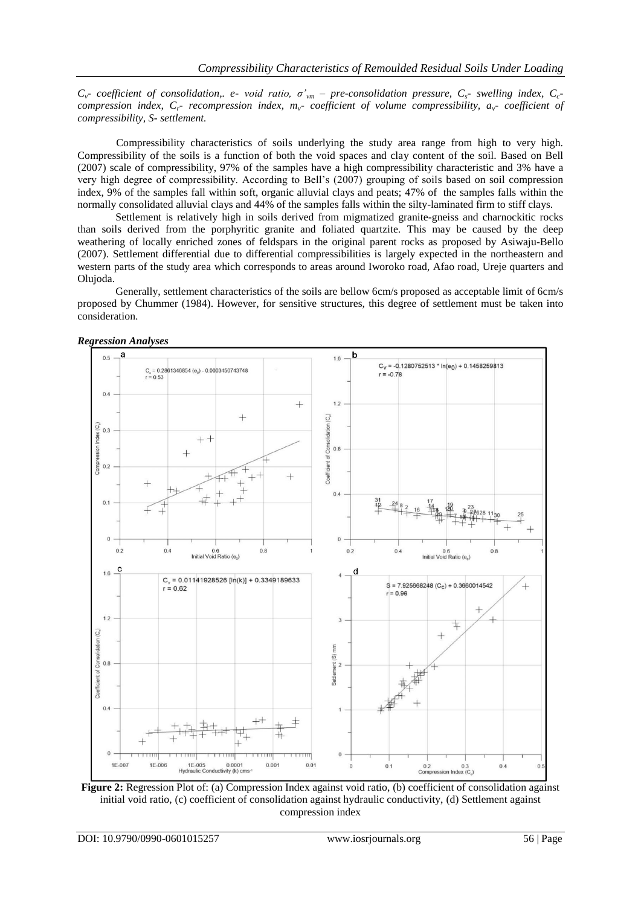*Cv- coefficient of consolidation,. e- void ratio, σ'vm – pre-consolidation pressure, Cs- swelling index, Cccompression index, Cr- recompression index, mv- coefficient of volume compressibility, av- coefficient of compressibility, S- settlement.*

Compressibility characteristics of soils underlying the study area range from high to very high. Compressibility of the soils is a function of both the void spaces and clay content of the soil. Based on Bell (2007) scale of compressibility, 97% of the samples have a high compressibility characteristic and 3% have a very high degree of compressibility. According to Bell's (2007) grouping of soils based on soil compression index, 9% of the samples fall within soft, organic alluvial clays and peats; 47% of the samples falls within the normally consolidated alluvial clays and 44% of the samples falls within the silty-laminated firm to stiff clays.

Settlement is relatively high in soils derived from migmatized granite-gneiss and charnockitic rocks than soils derived from the porphyritic granite and foliated quartzite. This may be caused by the deep weathering of locally enriched zones of feldspars in the original parent rocks as proposed by Asiwaju-Bello (2007). Settlement differential due to differential compressibilities is largely expected in the northeastern and western parts of the study area which corresponds to areas around Iworoko road, Afao road, Ureje quarters and Olujoda.

Generally, settlement characteristics of the soils are bellow 6cm/s proposed as acceptable limit of 6cm/s proposed by Chummer (1984). However, for sensitive structures, this degree of settlement must be taken into consideration.





**Figure 2:** Regression Plot of: (a) Compression Index against void ratio, (b) coefficient of consolidation against initial void ratio, (c) coefficient of consolidation against hydraulic conductivity, (d) Settlement against compression index